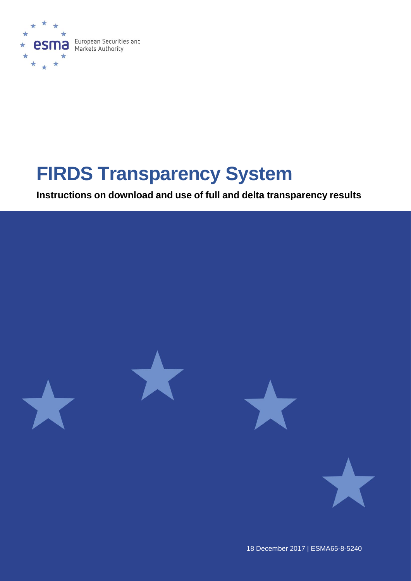

# **FIRDS Transparency System**

**Instructions on download and use of full and delta transparency results** 



18 December 2017 | ESMA65-8-5240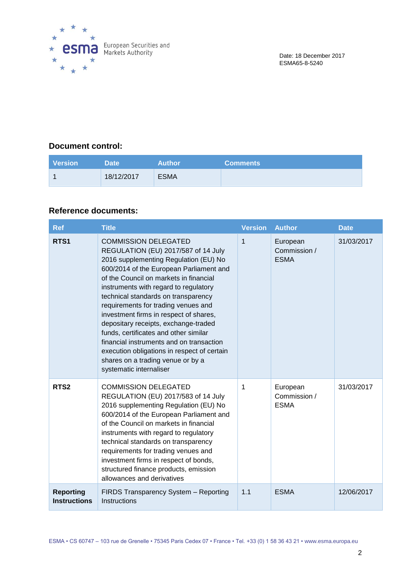

#### **Document control:**

| <b>Version</b> | Date '     | <b>Author</b> | <b>Comments</b> |
|----------------|------------|---------------|-----------------|
|                | 18/12/2017 | <b>ESMA</b>   |                 |

#### **Reference documents:**

| <b>Ref</b>                              | <b>Title</b>                                                                                                                                                                                                                                                                                                                                                                                                                                                                                                                                                                                                  | <b>Version</b> | <b>Author</b>                           | <b>Date</b> |
|-----------------------------------------|---------------------------------------------------------------------------------------------------------------------------------------------------------------------------------------------------------------------------------------------------------------------------------------------------------------------------------------------------------------------------------------------------------------------------------------------------------------------------------------------------------------------------------------------------------------------------------------------------------------|----------------|-----------------------------------------|-------------|
| RTS <sub>1</sub>                        | <b>COMMISSION DELEGATED</b><br>REGULATION (EU) 2017/587 of 14 July<br>2016 supplementing Regulation (EU) No<br>600/2014 of the European Parliament and<br>of the Council on markets in financial<br>instruments with regard to regulatory<br>technical standards on transparency<br>requirements for trading venues and<br>investment firms in respect of shares,<br>depositary receipts, exchange-traded<br>funds, certificates and other similar<br>financial instruments and on transaction<br>execution obligations in respect of certain<br>shares on a trading venue or by a<br>systematic internaliser | 1              | European<br>Commission /<br><b>ESMA</b> | 31/03/2017  |
| RTS <sub>2</sub>                        | <b>COMMISSION DELEGATED</b><br>REGULATION (EU) 2017/583 of 14 July<br>2016 supplementing Regulation (EU) No<br>600/2014 of the European Parliament and<br>of the Council on markets in financial<br>instruments with regard to regulatory<br>technical standards on transparency<br>requirements for trading venues and<br>investment firms in respect of bonds,<br>structured finance products, emission<br>allowances and derivatives                                                                                                                                                                       | 1              | European<br>Commission /<br><b>ESMA</b> | 31/03/2017  |
| <b>Reporting</b><br><b>Instructions</b> | FIRDS Transparency System - Reporting<br>Instructions                                                                                                                                                                                                                                                                                                                                                                                                                                                                                                                                                         | 1.1            | <b>ESMA</b>                             | 12/06/2017  |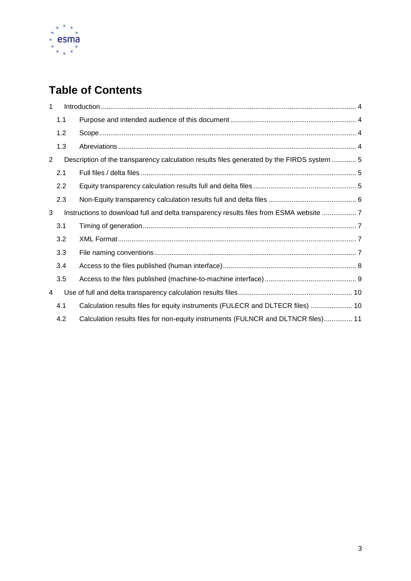

## **Table of Contents**

| 1              |     |                                                                                            |
|----------------|-----|--------------------------------------------------------------------------------------------|
|                | 1.1 |                                                                                            |
|                | 1.2 |                                                                                            |
|                | 1.3 |                                                                                            |
| $\overline{2}$ |     | Description of the transparency calculation results files generated by the FIRDS system  5 |
|                | 2.1 |                                                                                            |
|                | 2.2 |                                                                                            |
|                | 2.3 |                                                                                            |
| 3              |     | Instructions to download full and delta transparency results files from ESMA website  7    |
|                | 3.1 |                                                                                            |
|                | 3.2 |                                                                                            |
|                | 3.3 |                                                                                            |
|                | 3.4 |                                                                                            |
|                | 3.5 |                                                                                            |
| 4              |     |                                                                                            |
|                | 4.1 | Calculation results files for equity instruments (FULECR and DLTECR files)  10             |
|                | 4.2 | Calculation results files for non-equity instruments (FULNCR and DLTNCR files) 11          |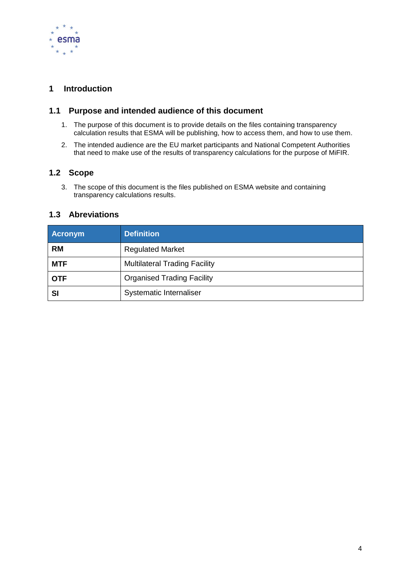

#### <span id="page-3-0"></span>**1 Introduction**

#### <span id="page-3-1"></span>**1.1 Purpose and intended audience of this document**

- 1. The purpose of this document is to provide details on the files containing transparency calculation results that ESMA will be publishing, how to access them, and how to use them.
- 2. The intended audience are the EU market participants and National Competent Authorities that need to make use of the results of transparency calculations for the purpose of MiFIR.

#### <span id="page-3-2"></span>**1.2 Scope**

3. The scope of this document is the files published on ESMA website and containing transparency calculations results.

#### <span id="page-3-3"></span>**1.3 Abreviations**

| <b>Acronym</b> | <b>Definition</b>                    |  |
|----------------|--------------------------------------|--|
| <b>RM</b>      | <b>Regulated Market</b>              |  |
| <b>MTF</b>     | <b>Multilateral Trading Facility</b> |  |
| <b>OTF</b>     | <b>Organised Trading Facility</b>    |  |
| SI             | Systematic Internaliser              |  |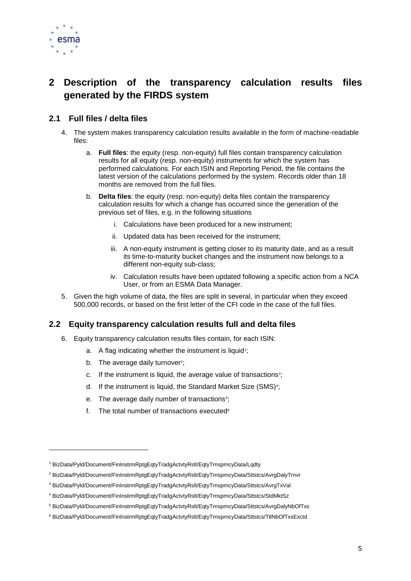

## <span id="page-4-0"></span>**2 Description of the transparency calculation results files generated by the FIRDS system**

#### <span id="page-4-1"></span>**2.1 Full files / delta files**

- 4. The system makes transparency calculation results available in the form of machine-readable files:
	- a. **Full files**: the equity (resp. non-equity) full files contain transparency calculation results for all equity (resp. non-equity) instruments for which the system has performed calculations. For each ISIN and Reporting Period, the file contains the latest version of the calculations performed by the system. Records older than 18 months are removed from the full files.
	- b. **Delta files**: the equity (resp. non-equity) delta files contain the transparency calculation results for which a change has occurred since the generation of the previous set of files, e.g. in the following situations
		- i. Calculations have been produced for a new instrument;
		- ii. Updated data has been received for the instrument;
		- iii. A non-equity instrument is getting closer to its maturity date, and as a result its time-to-maturity bucket changes and the instrument now belongs to a different non-equity sub-class;
		- iv. Calculation results have been updated following a specific action from a NCA User, or from an ESMA Data Manager.
- 5. Given the high volume of data, the files are split in several, in particular when they exceed 500,000 records, or based on the first letter of the CFI code in the case of the full files.

#### <span id="page-4-2"></span>**2.2 Equity transparency calculation results full and delta files**

- 6. Equity transparency calculation results files contain, for each ISIN:
	- a. A flag indicating whether the instrument is liquid<sup>1</sup>;
	- b. The average daily turnover<sup>2</sup>;
	- c. If the instrument is liquid, the average value of transactions<sup>3</sup>;
	- d. If the instrument is liquid, the Standard Market Size (SMS)<sup>4</sup>;
	- e. The average daily number of transactions<sup>5</sup>;
	- f. The total number of transactions executed $6$

<sup>1</sup> BizData/Pyld/Document/FinInstrmRptgEqtyTradgActvtyRslt/EqtyTrnsprncyData/Lqdty

<sup>2</sup> BizData/Pyld/Document/FinInstrmRptgEqtyTradgActvtyRslt/EqtyTrnsprncyData/Sttstcs/AvrgDalyTrnvr

<sup>3</sup> BizData/Pyld/Document/FinInstrmRptgEqtyTradgActvtyRslt/EqtyTrnsprncyData/Sttstcs/AvrgTxVal

<sup>4</sup> BizData/Pyld/Document/FinInstrmRptgEqtyTradgActvtyRslt/EqtyTrnsprncyData/Sttstcs/StdMktSz

<sup>5</sup> BizData/Pyld/Document/FinInstrmRptgEqtyTradgActvtyRslt/EqtyTrnsprncyData/Sttstcs/AvrgDalyNbOfTxs

<sup>6</sup> BizData/Pyld/Document/FinInstrmRptgEqtyTradgActvtyRslt/EqtyTrnsprncyData/Sttstcs/TtlNbOfTxsExctd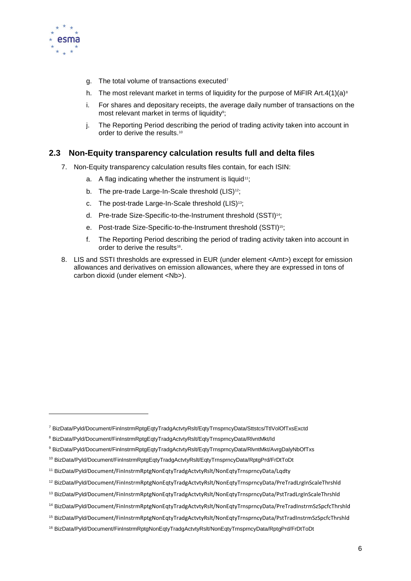

- g. The total volume of transactions executed<sup>7</sup>
- h. The most relevant market in terms of liquidity for the purpose of MiFIR Art.4(1)(a)<sup>8</sup>
- i. For shares and depositary receipts, the average daily number of transactions on the most relevant market in terms of liquidity<sup>9</sup>;
- j. The Reporting Period describing the period of trading activity taken into account in order to derive the results.<sup>10</sup>

#### <span id="page-5-0"></span>**2.3 Non-Equity transparency calculation results full and delta files**

- 7. Non-Equity transparency calculation results files contain, for each ISIN:
	- a. A flag indicating whether the instrument is liquid<sup>11</sup>;
	- b. The pre-trade Large-In-Scale threshold (LIS)<sup>12</sup>;
	- c. The post-trade Large-In-Scale threshold (LIS)<sup>13</sup>;
	- d. Pre-trade Size-Specific-to-the-Instrument threshold (SSTI)14;
	- e. Post-trade Size-Specific-to-the-Instrument threshold (SSTI)<sup>15</sup>;
	- f. The Reporting Period describing the period of trading activity taken into account in order to derive the results<sup>16</sup>.
- 8. LIS and SSTI thresholds are expressed in EUR (under element <Amt>) except for emission allowances and derivatives on emission allowances, where they are expressed in tons of carbon dioxid (under element <Nb>).

- <sup>9</sup> BizData/Pyld/Document/FinInstrmRptgEqtyTradgActvtyRslt/EqtyTrnsprncyData/RlvntMkt/AvrgDalyNbOfTxs
- <sup>10</sup> BizData/Pyld/Document/FinInstrmRptgEqtyTradgActvtyRslt/EqtyTrnsprncyData/RptgPrd/FrDtToDt

<sup>7</sup> BizData/Pyld/Document/FinInstrmRptgEqtyTradgActvtyRslt/EqtyTrnsprncyData/Sttstcs/TtlVolOfTxsExctd

<sup>8</sup> BizData/Pyld/Document/FinInstrmRptgEqtyTradgActvtyRslt/EqtyTrnsprncyData/RlvntMkt/Id

<sup>11</sup> BizData/Pyld/Document/FinInstrmRptgNonEqtyTradgActvtyRslt/NonEqtyTrnsprncyData/Lqdty

<sup>12</sup> BizData/Pyld/Document/FinInstrmRptgNonEqtyTradgActvtyRslt/NonEqtyTrnsprncyData/PreTradLrgInScaleThrshld

<sup>13</sup> BizData/Pyld/Document/FinInstrmRptgNonEqtyTradgActvtyRslt/NonEqtyTrnsprncyData/PstTradLrgInScaleThrshld

<sup>&</sup>lt;sup>14</sup> BizData/Pyld/Document/FinInstrmRptgNonEqtyTradgActytyRslt/NonEqtyTrnsprncyData/PreTradInstrmSzSpcfcThrshld

<sup>15</sup> BizData/Pyld/Document/FinInstrmRptgNonEqtyTradgActvtyRslt/NonEqtyTrnsprncyData/PstTradInstrmSzSpcfcThrshld

<sup>16</sup> BizData/Pyld/Document/FinInstrmRptgNonEqtyTradgActvtyRslt/NonEqtyTrnsprncyData/RptgPrd/FrDtToDt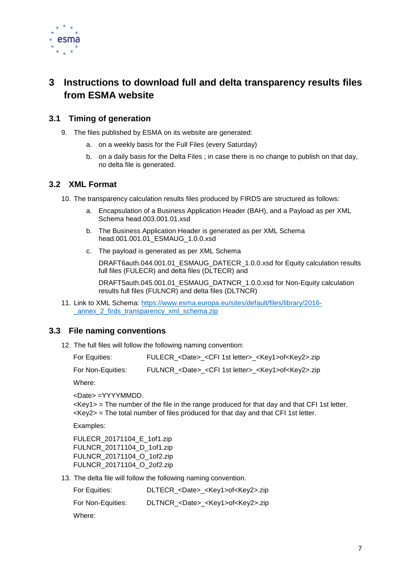

## <span id="page-6-0"></span>**3 Instructions to download full and delta transparency results files from ESMA website**

#### <span id="page-6-1"></span>**3.1 Timing of generation**

- 9. The files published by ESMA on its website are generated:
	- a. on a weekly basis for the Full Files (every Saturday)
	- b. on a daily basis for the Delta Files ; in case there is no change to publish on that day, no delta file is generated.

#### <span id="page-6-2"></span>**3.2 XML Format**

10. The transparency calculation results files produced by FIRDS are structured as follows:

- a. Encapsulation of a Business Application Header (BAH), and a Payload as per XML Schema head.003.001.01.xsd
- b. The Business Application Header is generated as per XML Schema head.001.001.01\_ESMAUG\_1.0.0.xsd
- c. The payload is generated as per XML Schema

DRAFT6auth.044.001.01\_ESMAUG\_DATECR\_1.0.0.xsd for Equity calculation results full files (FULECR) and delta files (DLTECR) and

DRAFT5auth.045.001.01\_ESMAUG\_DATNCR\_1.0.0.xsd for Non-Equity calculation results full files (FULNCR) and delta files (DLTNCR)

11. Link to XML Schema: [https://www.esma.europa.eu/sites/default/files/library/2016-](https://www.esma.europa.eu/sites/default/files/library/2016-_annex_2_firds_transparency_xml_schema.zip) [\\_annex\\_2\\_firds\\_transparency\\_xml\\_schema.zip](https://www.esma.europa.eu/sites/default/files/library/2016-_annex_2_firds_transparency_xml_schema.zip)

#### <span id="page-6-3"></span>**3.3 File naming conventions**

12. The full files will follow the following naming convention:

| For Equities:     | FULECR_ <date>_<cfi 1st="" letter="">_<key1>of<key2>.zip</key2></key1></cfi></date> |
|-------------------|-------------------------------------------------------------------------------------|
| For Non-Equities: | FULNCR_ <date>_<cfi 1st="" letter="">_<key1>of<key2>.zip</key2></key1></cfi></date> |

Where:

<Date> =YYYYMMDD.

 $\langle Kev1 \rangle$  = The number of the file in the range produced for that day and that CFI 1st letter. <Key2> = The total number of files produced for that day and that CFI 1st letter.

Examples:

FULECR\_20171104\_E\_1of1.zip FULNCR\_20171104\_D\_1of1.zip FULNCR\_20171104\_O\_1of2.zip FULNCR\_20171104\_O\_2of2.zip

13. The delta file will follow the following naming convention.

| For Equities:     | DLTECR_ <date>_<key1>of<key2>.zip</key2></key1></date> |
|-------------------|--------------------------------------------------------|
| For Non-Equities: | DLTNCR_ <date>_<key1>of<key2>.zip</key2></key1></date> |
| Where:            |                                                        |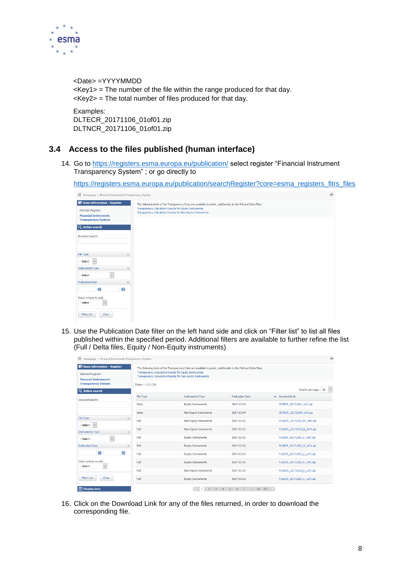

<Date> =YYYYMMDD <Key1> = The number of the file within the range produced for that day. <Key2> = The total number of files produced for that day.

Examples: DLTECR\_20171106\_01of01.zip DLTNCR\_20171106\_01of01.zip

#### <span id="page-7-0"></span>**3.4 Access to the files published (human interface)**

14. Go to<https://registers.esma.europa.eu/publication/> select register "Financial Instrument Transparency System" ; or go directly to

[https://registers.esma.europa.eu/publication/searchRegister?core=esma\\_registers\\_fitrs\\_files](https://registers.esma.europa.eu/publication/searchRegister?core=esma_registers_fitrs_files)

| <b>M</b> Homepage > Financial Instruments Transparency System                                                           |                                                                                                                                                                                                                                           | 画 |
|-------------------------------------------------------------------------------------------------------------------------|-------------------------------------------------------------------------------------------------------------------------------------------------------------------------------------------------------------------------------------------|---|
| <b>Basic information - Register</b><br>Selected Register:<br><b>Financial Instruments</b><br><b>Transparency System</b> | The following kinds of the Transparency Data are available to public, additionally to the Full and Delta Files:<br>Transparency Calculation Results for Equity Instruments<br>Transparency Calculation Results for Non-Equity Instruments |   |
| Q Refine search                                                                                                         |                                                                                                                                                                                                                                           |   |
| Keyword search:                                                                                                         |                                                                                                                                                                                                                                           |   |
| File Type<br>$\times$                                                                                                   |                                                                                                                                                                                                                                           |   |
| $-Select - $                                                                                                            |                                                                                                                                                                                                                                           |   |
| <b>Instruments Type</b><br>$\times$                                                                                     |                                                                                                                                                                                                                                           |   |
| - Select -<br>$\checkmark$                                                                                              |                                                                                                                                                                                                                                           |   |
| <b>Publication Date</b><br>$\times$                                                                                     |                                                                                                                                                                                                                                           |   |
| 闓<br>Ħ                                                                                                                  |                                                                                                                                                                                                                                           |   |
| Select criteria to add:<br>- Select -<br>$\checkmark$                                                                   |                                                                                                                                                                                                                                           |   |
| <b>Filter List</b><br>Clear                                                                                             |                                                                                                                                                                                                                                           |   |

15. Use the Publication Date filter on the left hand side and click on "Filter list" to list all files published within the specified period. Additional filters are available to further refine the list (Full / Delta files, Equity / Non-Equity instruments)

| 衜<br>Homepage > Financial Instruments Transparency System                                 |                                                                                                                        |                                                                                                                 |                               | 画                          |
|-------------------------------------------------------------------------------------------|------------------------------------------------------------------------------------------------------------------------|-----------------------------------------------------------------------------------------------------------------|-------------------------------|----------------------------|
| <b>Basic information - Register</b><br>Selected Register:<br><b>Financial Instruments</b> | Transparency Calculation Results for Equity Instruments<br>Transparency Calculation Results for Non-Equity Instruments | The following kinds of the Transparency Data are available to public, additionally to the Full and Delta Files: |                               |                            |
| <b>Transparency System</b><br>Q Refine search                                             | Items: 1-10 / 241<br>Results per page: 10<br>$\vee$                                                                    |                                                                                                                 |                               |                            |
| Keyword search:                                                                           | File Type                                                                                                              | <b>Instruments Type</b>                                                                                         | <b>Publication Date</b><br>A. | Download Link              |
|                                                                                           | <b>Delta</b>                                                                                                           | <b>Equity Instruments</b>                                                                                       | 2017-12-04                    | DLTECR 20171204 1of1.zip   |
|                                                                                           | Delta                                                                                                                  | Non-Equity Instruments                                                                                          | 2017-12-04                    | DLTNCR 20171204 1of1.zip   |
| File Type<br>$\times$<br>$-$ Select - $\ $ $\vee$                                         | Full                                                                                                                   | Non-Equity Instruments                                                                                          | 2017-12-02                    | FULNCR 20171202 M 1of1.zip |
| <b>Instruments Type</b><br>$\times$                                                       | Full                                                                                                                   | Non-Equity Instruments                                                                                          | 2017-12-02                    | FULNCR 20171202 H 1of1.zip |
| $\checkmark$<br>$-$ Select $-$                                                            | Full                                                                                                                   | <b>Equity Instruments</b>                                                                                       | 2017-12-02                    | FULECR 20171202 S 1of1.zip |
| <b>Publication Date</b><br>$\times$                                                       | Full                                                                                                                   | <b>Equity Instruments</b>                                                                                       | 2017-12-02                    | FULECR 20171202 O 1of1.zip |
| 斷<br>誾                                                                                    | Full                                                                                                                   | <b>Equity Instruments</b>                                                                                       | 2017-12-02                    | FULECR 20171202 D 1of1.zip |
| Select criteria to add:<br>$\checkmark$<br>- Select -                                     | Full                                                                                                                   | <b>Equity Instruments</b>                                                                                       | 2017-12-02                    | FULECR 20171202 R 1of1.zip |
|                                                                                           | Full                                                                                                                   | Non-Equity Instruments                                                                                          | 2017-12-02                    | FULNCR 20171202 S 1of1.zip |
| <b>Filter List</b><br>Clear                                                               | Full                                                                                                                   | <b>Equity Instruments</b>                                                                                       | 2017-12-02                    | FULECR 20171202 C 1of1.zip |
| <b>Display data</b>                                                                       |                                                                                                                        | $\overline{3}$<br>$\overline{4}$                                                                                | 5 6 7  24 25<br>$\sim$ 18     |                            |

16. Click on the Download Link for any of the files returned, in order to download the corresponding file.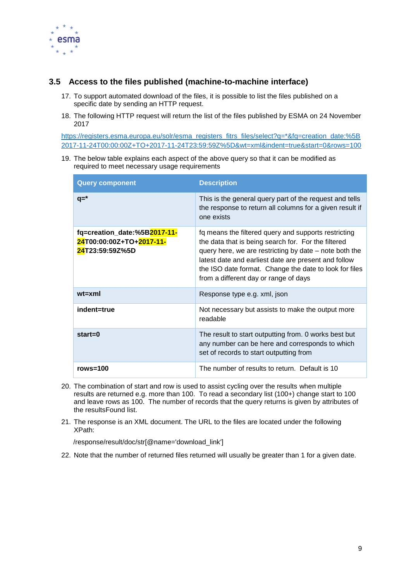

#### <span id="page-8-0"></span>**3.5 Access to the files published (machine-to-machine interface)**

- 17. To support automated download of the files, it is possible to list the files published on a specific date by sending an HTTP request.
- 18. The following HTTP request will return the list of the files published by ESMA on 24 November 2017

[https://registers.esma.europa.eu/solr/esma\\_registers\\_fitrs\\_files/select?q=\\*&fq=creation\\_date:%5B](https://registers.esma.europa.eu/solr/esma_registers_fitrs_files/select?q=*&fq=creation_date:%5B2017-11-24T00:00:00Z+TO+2017-11-24T23:59:59Z%5D&wt=xml&indent=true&start=0&rows=100) [2017-11-24T00:00:00Z+TO+2017-11-24T23:59:59Z%5D&wt=xml&indent=true&start=0&rows=100](https://registers.esma.europa.eu/solr/esma_registers_fitrs_files/select?q=*&fq=creation_date:%5B2017-11-24T00:00:00Z+TO+2017-11-24T23:59:59Z%5D&wt=xml&indent=true&start=0&rows=100)

19. The below table explains each aspect of the above query so that it can be modified as required to meet necessary usage requirements

| <b>Query component</b>                                                      | <b>Description</b>                                                                                                                                                                                                                                                                                                               |
|-----------------------------------------------------------------------------|----------------------------------------------------------------------------------------------------------------------------------------------------------------------------------------------------------------------------------------------------------------------------------------------------------------------------------|
| $q = *$                                                                     | This is the general query part of the request and tells<br>the response to return all columns for a given result if<br>one exists                                                                                                                                                                                                |
| fq=creation_date:%5B2017-11-<br>24T00:00:00Z+TO+2017-11-<br>24T23:59:59Z%5D | fq means the filtered query and supports restricting<br>the data that is being search for. For the filtered<br>query here, we are restricting by date – note both the<br>latest date and earliest date are present and follow<br>the ISO date format. Change the date to look for files<br>from a different day or range of days |
| $wt=xml$                                                                    | Response type e.g. xml, json                                                                                                                                                                                                                                                                                                     |
| indent=true                                                                 | Not necessary but assists to make the output more<br>readable                                                                                                                                                                                                                                                                    |
| $start = 0$                                                                 | The result to start outputting from. 0 works best but<br>any number can be here and corresponds to which<br>set of records to start outputting from                                                                                                                                                                              |
| rows= $100$                                                                 | The number of results to return. Default is 10                                                                                                                                                                                                                                                                                   |

- 20. The combination of start and row is used to assist cycling over the results when multiple results are returned e.g. more than 100. To read a secondary list (100+) change start to 100 and leave rows as 100. The number of records that the query returns is given by attributes of the resultsFound list.
- 21. The response is an XML document. The URL to the files are located under the following XPath:

/response/result/doc/str[@name='download\_link']

22. Note that the number of returned files returned will usually be greater than 1 for a given date.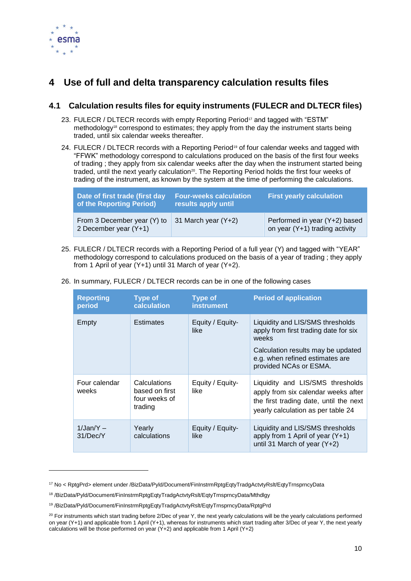

## <span id="page-9-0"></span>**4 Use of full and delta transparency calculation results files**

#### <span id="page-9-1"></span>**4.1 Calculation results files for equity instruments (FULECR and DLTECR files)**

- 23. FULECR / DLTECR records with empty Reporting Period<sup>17</sup> and tagged with "ESTM" methodology<sup>18</sup> correspond to estimates; they apply from the day the instrument starts being traded, until six calendar weeks thereafter.
- 24. FULECR / DLTECR records with a Reporting Period<sup>19</sup> of four calendar weeks and tagged with "FFWK" methodology correspond to calculations produced on the basis of the first four weeks of trading ; they apply from six calendar weeks after the day when the instrument started being traded, until the next yearly calculation<sup>20</sup>. The Reporting Period holds the first four weeks of trading of the instrument, as known by the system at the time of performing the calculations.

| Date of first trade (first day<br>of the Reporting Period) | <b>Four-weeks calculation</b><br>results apply until | <b>First yearly calculation</b>                                 |
|------------------------------------------------------------|------------------------------------------------------|-----------------------------------------------------------------|
| From 3 December year (Y) to<br>2 December year (Y+1)       | 31 March year (Y+2)                                  | Performed in year (Y+2) based<br>on year (Y+1) trading activity |

25. FULECR / DLTECR records with a Reporting Period of a full year (Y) and tagged with "YEAR" methodology correspond to calculations produced on the basis of a year of trading ; they apply from 1 April of year (Y+1) until 31 March of year (Y+2).

| <b>Reporting</b><br>period | <b>Type of</b><br><b>calculation</b>                              | <b>Type of</b><br><b>instrument</b> | <b>Period of application</b>                                                                                                                                                          |
|----------------------------|-------------------------------------------------------------------|-------------------------------------|---------------------------------------------------------------------------------------------------------------------------------------------------------------------------------------|
| Empty                      | <b>Estimates</b>                                                  | Equity / Equity-<br>like            | Liquidity and LIS/SMS thresholds<br>apply from first trading date for six<br>weeks<br>Calculation results may be updated<br>e.g. when refined estimates are<br>provided NCAs or ESMA. |
| Four calendar<br>weeks     | <b>Calculations</b><br>based on first<br>four weeks of<br>trading | Equity / Equity-<br>like            | Liquidity and LIS/SMS thresholds<br>apply from six calendar weeks after<br>the first trading date, until the next<br>yearly calculation as per table 24                               |
| $1$ /Jan/Y $-$<br>31/Dec/Y | Yearly<br>calculations                                            | Equity / Equity-<br>like            | Liquidity and LIS/SMS thresholds<br>apply from 1 April of year $(Y+1)$<br>until 31 March of year $(Y+2)$                                                                              |

26. In summary, FULECR / DLTECR records can be in one of the following cases

<sup>17</sup> No < RptgPrd> element under /BizData/Pyld/Document/FinInstrmRptgEqtyTradgActvtyRslt/EqtyTrnsprncyData

<sup>18</sup> /BizData/Pyld/Document/FinInstrmRptgEqtyTradgActvtyRslt/EqtyTrnsprncyData/Mthdlgy

<sup>19</sup> /BizData/Pyld/Document/FinInstrmRptgEqtyTradgActvtyRslt/EqtyTrnsprncyData/RptgPrd

<sup>&</sup>lt;sup>20</sup> For instruments which start trading before 2/Dec of year Y, the next yearly calculations will be the yearly calculations performed on year (Y+1) and applicable from 1 April (Y+1), whereas for instruments which start trading after 3/Dec of year Y, the next yearly calculations will be those performed on year  $(Y+2)$  and applicable from 1 April  $(Y+2)$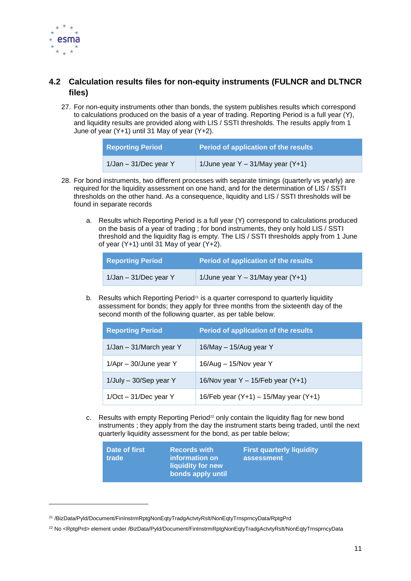

#### <span id="page-10-0"></span>**4.2 Calculation results files for non-equity instruments (FULNCR and DLTNCR files)**

27. For non-equity instruments other than bonds, the system publishes results which correspond to calculations produced on the basis of a year of trading. Reporting Period is a full year (Y), and liquidity results are provided along with LIS / SSTI thresholds. The results apply from 1 June of year (Y+1) until 31 May of year (Y+2).

| <b>Reporting Period</b>  | Period of application of the results  |  |
|--------------------------|---------------------------------------|--|
| $1$ /Jan – 31/Dec year Y | 1/June year $Y - 31/May$ year $(Y+1)$ |  |

- 28. For bond instruments, two different processes with separate timings (quarterly vs yearly) are required for the liquidity assessment on one hand, and for the determination of LIS / SSTI thresholds on the other hand. As a consequence, liquidity and LIS / SSTI thresholds will be found in separate records
	- a. Results which Reporting Period is a full year (Y) correspond to calculations produced on the basis of a year of trading ; for bond instruments, they only hold LIS / SSTI threshold and the liquidity flag is empty. The LIS / SSTI thresholds apply from 1 June of year (Y+1) until 31 May of year (Y+2).

| <b>Reporting Period</b>  | Period of application of the results  |
|--------------------------|---------------------------------------|
| $1$ /Jan - 31/Dec year Y | 1/June year $Y - 31/May$ year $(Y+1)$ |

b. Results which Reporting Period<sup>21</sup> is a quarter correspond to quarterly liquidity assessment for bonds; they apply for three months from the sixteenth day of the second month of the following quarter, as per table below.

| <b>Reporting Period</b>   | Period of application of the results       |
|---------------------------|--------------------------------------------|
| 1/Jan - 31/March year Y   | 16/May - 15/Aug year Y                     |
| $1/Apr - 30/J$ une year Y | 16/Aug - 15/Nov year Y                     |
| 1/July - 30/Sep year Y    | 16/Nov year Y - 15/Feb year (Y+1)          |
| $1/Oct - 31/Dec$ year Y   | 16/Feb year $(Y+1) - 15/M$ ay year $(Y+1)$ |

c. Results with empty Reporting Period<sup> $22$ </sup> only contain the liquidity flag for new bond instruments ; they apply from the day the instrument starts being traded, until the next quarterly liquidity assessment for the bond, as per table below;

| Date of first<br><b>trade</b> | <b>Records with</b><br>information on<br>liquidity for new | <b>First quarterly liquidity</b><br>assessment |
|-------------------------------|------------------------------------------------------------|------------------------------------------------|
|                               | bonds apply until                                          |                                                |

<sup>21</sup> /BizData/Pyld/Document/FinInstrmRptgNonEqtyTradgActvtyRslt/NonEqtyTrnsprncyData/RptgPrd

<sup>&</sup>lt;sup>22</sup> No <RptgPrd> element under /BizData/Pyld/Document/FinInstrmRptgNonEqtyTradgActvtyRslt/NonEqtyTrnsprncyData